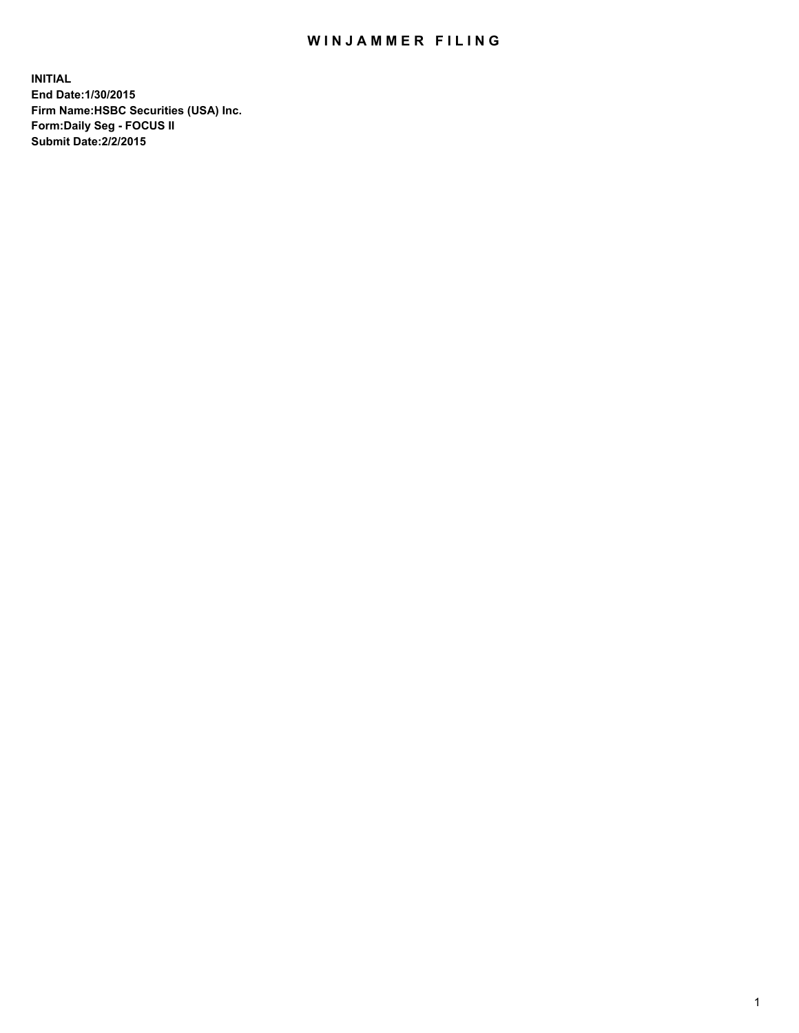## WIN JAMMER FILING

**INITIAL End Date:1/30/2015 Firm Name:HSBC Securities (USA) Inc. Form:Daily Seg - FOCUS II Submit Date:2/2/2015**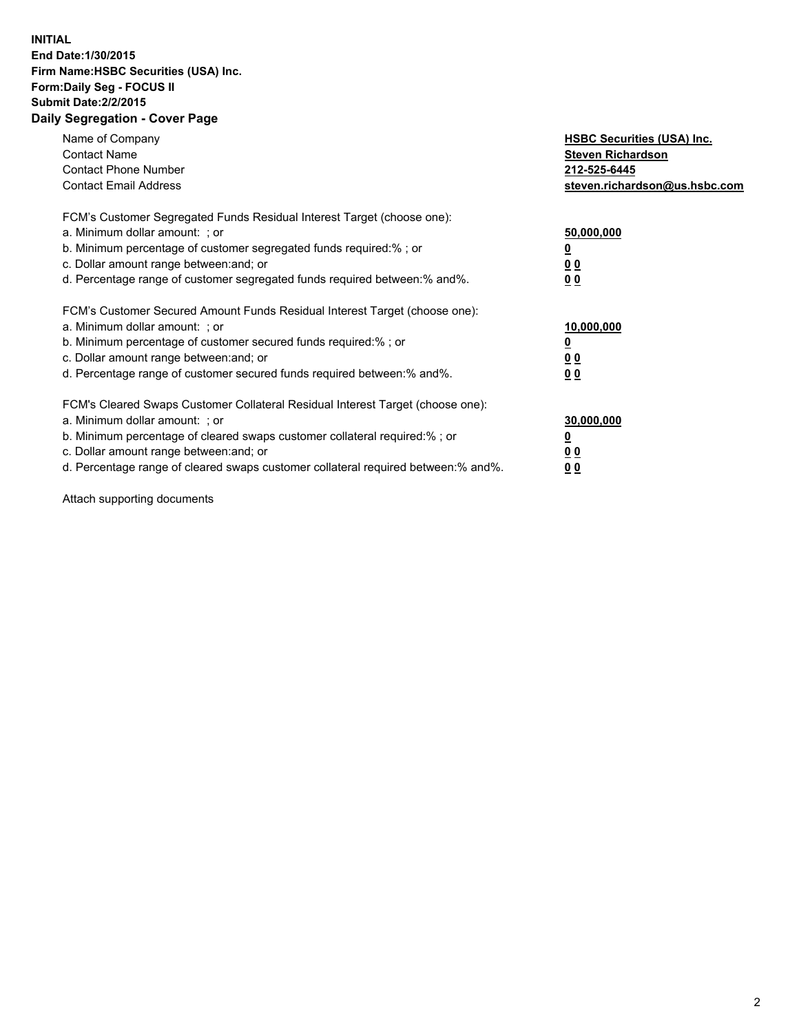## **INITIAL End Date:1/30/2015 Firm Name:HSBC Securities (USA) Inc. Form:Daily Seg - FOCUS II Submit Date:2/2/2015 Daily Segregation - Cover Page**

| Name of Company<br><b>Contact Name</b><br><b>Contact Phone Number</b><br><b>Contact Email Address</b>                                                                                                                                                                                                                          | <b>HSBC Securities (USA) Inc.</b><br><b>Steven Richardson</b><br>212-525-6445<br>steven.richardson@us.hsbc.com |
|--------------------------------------------------------------------------------------------------------------------------------------------------------------------------------------------------------------------------------------------------------------------------------------------------------------------------------|----------------------------------------------------------------------------------------------------------------|
| FCM's Customer Segregated Funds Residual Interest Target (choose one):<br>a. Minimum dollar amount: ; or<br>b. Minimum percentage of customer segregated funds required:% ; or<br>c. Dollar amount range between: and; or<br>d. Percentage range of customer segregated funds required between:% and%.                         | 50,000,000<br>0 <sub>0</sub><br>0 <sub>0</sub>                                                                 |
| FCM's Customer Secured Amount Funds Residual Interest Target (choose one):<br>a. Minimum dollar amount: ; or<br>b. Minimum percentage of customer secured funds required:%; or<br>c. Dollar amount range between: and; or<br>d. Percentage range of customer secured funds required between: % and %.                          | 10,000,000<br>0 <sub>0</sub><br>0 <sub>0</sub>                                                                 |
| FCM's Cleared Swaps Customer Collateral Residual Interest Target (choose one):<br>a. Minimum dollar amount: ; or<br>b. Minimum percentage of cleared swaps customer collateral required:% ; or<br>c. Dollar amount range between: and; or<br>d. Percentage range of cleared swaps customer collateral required between:% and%. | 30,000,000<br><u>00</u><br><u>00</u>                                                                           |

Attach supporting documents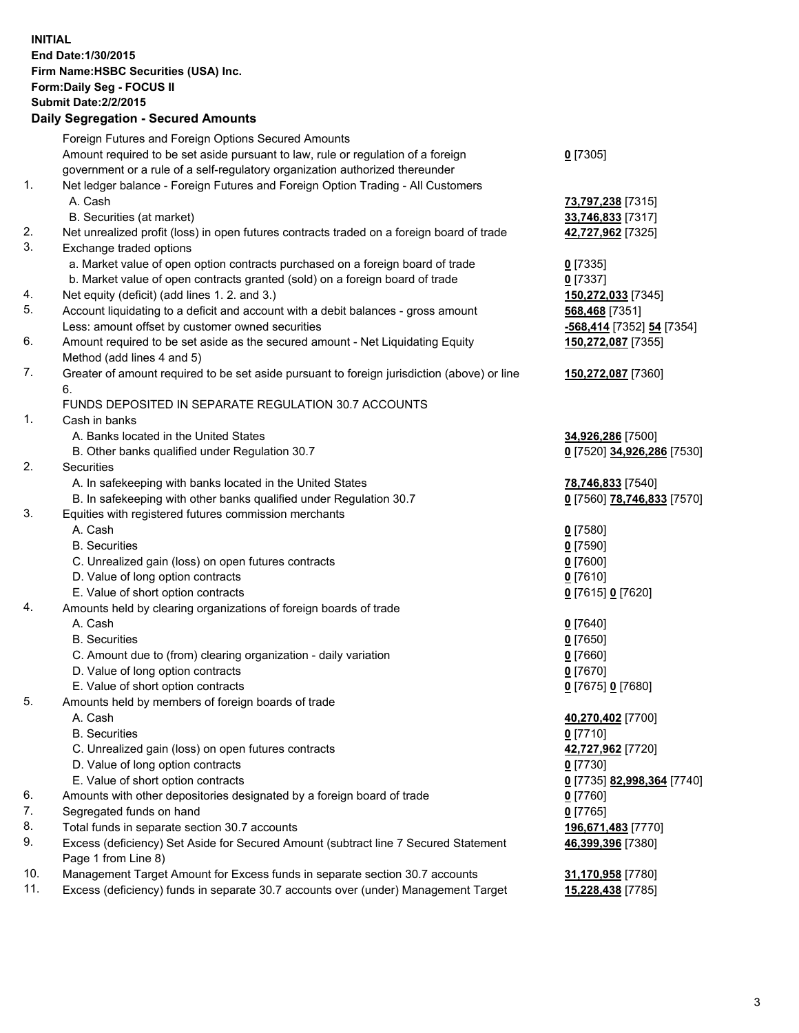**INITIAL End Date:1/30/2015 Firm Name:HSBC Securities (USA) Inc. Form:Daily Seg - FOCUS II Submit Date:2/2/2015 Daily Segregation - Secured Amounts** Foreign Futures and Foreign Options Secured Amounts Amount required to be set aside pursuant to law, rule or regulation of a foreign government or a rule of a self-regulatory organization authorized thereunder **0** [7305] 1. Net ledger balance - Foreign Futures and Foreign Option Trading - All Customers A. Cash **73,797,238** [7315] B. Securities (at market) **33,746,833** [7317] 2. Net unrealized profit (loss) in open futures contracts traded on a foreign board of trade **42,727,962** [7325] 3. Exchange traded options a. Market value of open option contracts purchased on a foreign board of trade **0** [7335] b. Market value of open contracts granted (sold) on a foreign board of trade **0** [7337] 4. Net equity (deficit) (add lines 1. 2. and 3.) **150,272,033** [7345] 5. Account liquidating to a deficit and account with a debit balances - gross amount **568,468** [7351] Less: amount offset by customer owned securities **-568,414** [7352] **54** [7354] 6. Amount required to be set aside as the secured amount - Net Liquidating Equity Method (add lines 4 and 5) **150,272,087** [7355] 7. Greater of amount required to be set aside pursuant to foreign jurisdiction (above) or line 6. **150,272,087** [7360] FUNDS DEPOSITED IN SEPARATE REGULATION 30.7 ACCOUNTS 1. Cash in banks A. Banks located in the United States **34,926,286** [7500] B. Other banks qualified under Regulation 30.7 **0** [7520] **34,926,286** [7530] 2. Securities A. In safekeeping with banks located in the United States **78,746,833** [7540] B. In safekeeping with other banks qualified under Regulation 30.7 **0** [7560] **78,746,833** [7570] 3. Equities with registered futures commission merchants A. Cash **0** [7580] B. Securities **0** [7590] C. Unrealized gain (loss) on open futures contracts **0** [7600] D. Value of long option contracts **0** [7610] E. Value of short option contracts **0** [7615] **0** [7620] 4. Amounts held by clearing organizations of foreign boards of trade A. Cash **0** [7640] B. Securities **0** [7650] C. Amount due to (from) clearing organization - daily variation **0** [7660] D. Value of long option contracts **0** [7670] E. Value of short option contracts **0** [7675] **0** [7680] 5. Amounts held by members of foreign boards of trade A. Cash **40,270,402** [7700] B. Securities **0** [7710] C. Unrealized gain (loss) on open futures contracts **42,727,962** [7720] D. Value of long option contracts **0** [7730] E. Value of short option contracts **0** [7735] **82,998,364** [7740] 6. Amounts with other depositories designated by a foreign board of trade **0** [7760] 7. Segregated funds on hand **0** [7765] 8. Total funds in separate section 30.7 accounts **196,671,483** [7770] 9. Excess (deficiency) Set Aside for Secured Amount (subtract line 7 Secured Statement Page 1 from Line 8) **46,399,396** [7380] 10. Management Target Amount for Excess funds in separate section 30.7 accounts **31,170,958** [7780]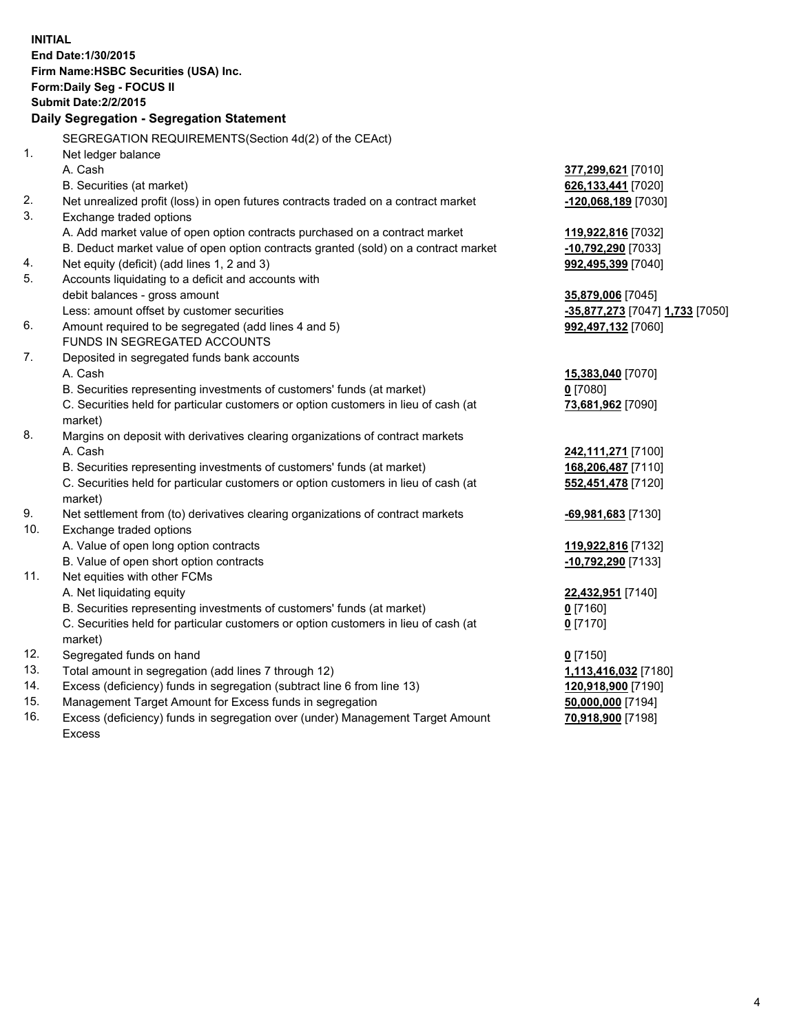| <b>INITIAL</b> | End Date: 1/30/2015<br>Firm Name: HSBC Securities (USA) Inc.<br>Form: Daily Seg - FOCUS II<br><b>Submit Date: 2/2/2015</b><br><b>Daily Segregation - Segregation Statement</b> |                                 |
|----------------|--------------------------------------------------------------------------------------------------------------------------------------------------------------------------------|---------------------------------|
|                | SEGREGATION REQUIREMENTS(Section 4d(2) of the CEAct)                                                                                                                           |                                 |
| 1.             | Net ledger balance                                                                                                                                                             |                                 |
|                | A. Cash                                                                                                                                                                        | 377,299,621 [7010]              |
|                | B. Securities (at market)                                                                                                                                                      | 626,133,441 [7020]              |
| 2.             | Net unrealized profit (loss) in open futures contracts traded on a contract market                                                                                             | -120,068,189 [7030]             |
| 3.             | Exchange traded options                                                                                                                                                        |                                 |
|                | A. Add market value of open option contracts purchased on a contract market                                                                                                    | 119,922,816 [7032]              |
|                | B. Deduct market value of open option contracts granted (sold) on a contract market                                                                                            | -10,792,290 [7033]              |
| 4.             | Net equity (deficit) (add lines 1, 2 and 3)                                                                                                                                    | 992,495,399 [7040]              |
| 5.             | Accounts liquidating to a deficit and accounts with                                                                                                                            |                                 |
|                | debit balances - gross amount                                                                                                                                                  | 35,879,006 [7045]               |
|                | Less: amount offset by customer securities                                                                                                                                     | -35,877,273 [7047] 1,733 [7050] |
| 6.             | Amount required to be segregated (add lines 4 and 5)                                                                                                                           | 992,497,132 [7060]              |
|                | FUNDS IN SEGREGATED ACCOUNTS                                                                                                                                                   |                                 |
| 7.             | Deposited in segregated funds bank accounts                                                                                                                                    |                                 |
|                | A. Cash                                                                                                                                                                        | 15,383,040 [7070]               |
|                | B. Securities representing investments of customers' funds (at market)                                                                                                         | $0$ [7080]                      |
|                | C. Securities held for particular customers or option customers in lieu of cash (at<br>market)                                                                                 | 73,681,962 [7090]               |
| 8.             | Margins on deposit with derivatives clearing organizations of contract markets                                                                                                 |                                 |
|                | A. Cash                                                                                                                                                                        | 242,111,271 [7100]              |
|                | B. Securities representing investments of customers' funds (at market)                                                                                                         | 168,206,487 [7110]              |
|                | C. Securities held for particular customers or option customers in lieu of cash (at<br>market)                                                                                 | 552,451,478 [7120]              |
| 9.             | Net settlement from (to) derivatives clearing organizations of contract markets                                                                                                | <u>-69,981,683</u> [7130]       |
| 10.            | Exchange traded options                                                                                                                                                        |                                 |
|                | A. Value of open long option contracts                                                                                                                                         | 119,922,816 [7132]              |
|                | B. Value of open short option contracts                                                                                                                                        | -10,792,290 [7133]              |
| 11.            | Net equities with other FCMs                                                                                                                                                   |                                 |
|                | A. Net liquidating equity                                                                                                                                                      | 22,432,951 [7140]               |
|                | B. Securities representing investments of customers' funds (at market)                                                                                                         | 0 <sup>[7160]</sup>             |
|                | C. Securities held for particular customers or option customers in lieu of cash (at                                                                                            | $0$ [7170]                      |
|                | market)                                                                                                                                                                        |                                 |
| 12.            | Segregated funds on hand                                                                                                                                                       | $0$ [7150]                      |
| 13.            | Total amount in segregation (add lines 7 through 12)                                                                                                                           | 1,113,416,032 [7180]            |
| 14.            | Excess (deficiency) funds in segregation (subtract line 6 from line 13)                                                                                                        | 120,918,900 [7190]              |
| 15.            | Management Target Amount for Excess funds in segregation                                                                                                                       | 50,000,000 [7194]               |
| 16.            | Excess (deficiency) funds in segregation over (under) Management Target Amount                                                                                                 | 70,918,900 [7198]               |
|                | Excess                                                                                                                                                                         |                                 |